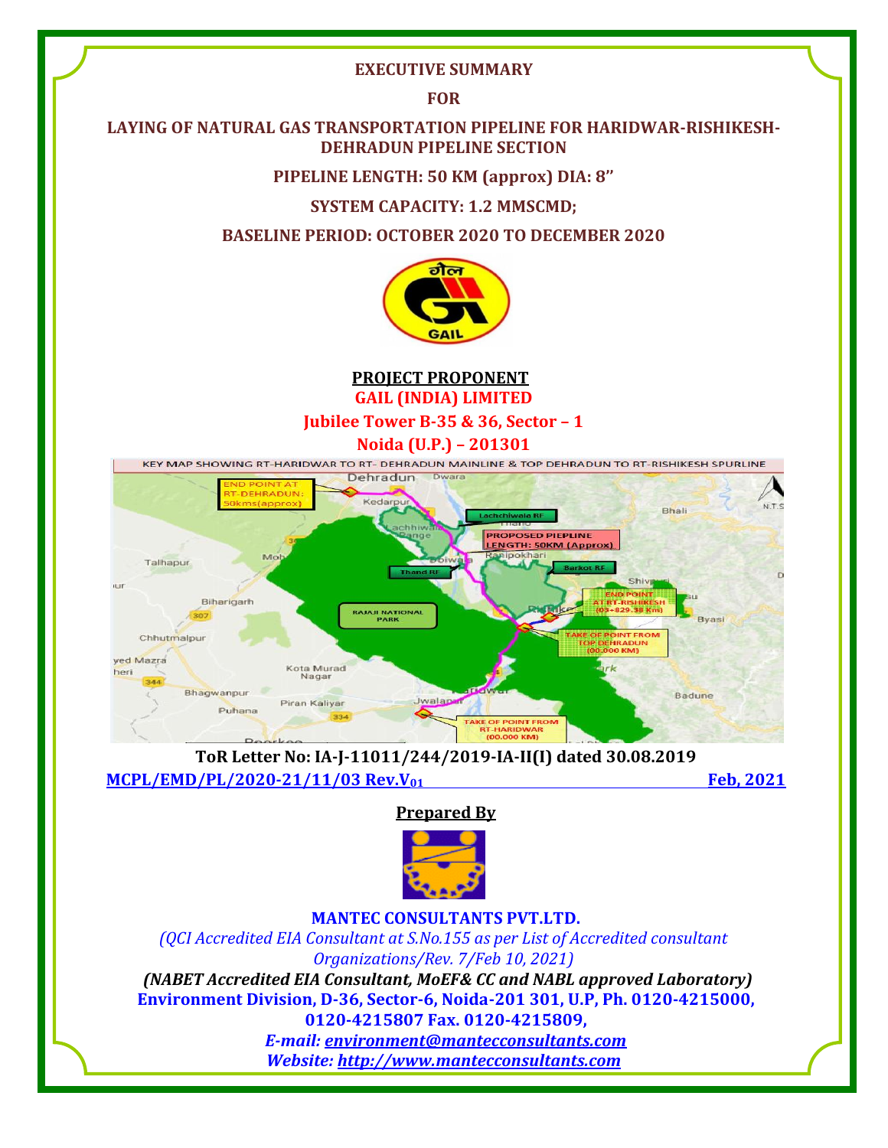#### **EXECUTIVE SUMMARY**

**FOR**

#### **LAYING OF NATURAL GAS TRANSPORTATION PIPELINE FOR HARIDWAR-RISHIKESH-DEHRADUN PIPELINE SECTION**

**PIPELINE LENGTH: 50 KM (approx) DIA: 8''**

**SYSTEM CAPACITY: 1.2 MMSCMD;** 

**BASELINE PERIOD: OCTOBER 2020 TO DECEMBER 2020**



**PROJECT PROPONENT GAIL (INDIA) LIMITED**

**Jubilee Tower B-35 & 36, Sector – 1**

**Noida (U.P.) – 201301**



**ToR Letter No: IA-J-11011/244/2019-IA-II(I) dated 30.08.2019 MCPL/EMD/PL/2020-21/11/03 Rev.V01 Feb, 2021**

**Prepared By**



**MANTEC CONSULTANTS PVT.LTD.**

*(QCI Accredited EIA Consultant at S.No.155 as per List of Accredited consultant Organizations/Rev. 7/Feb 10, 2021) (NABET Accredited EIA Consultant, MoEF& CC and NABL approved Laboratory)* **Environment Division, D-36, Sector-6, Noida-201 301, U.P, Ph. 0120-4215000, 0120-4215807 Fax. 0120-4215809,**  *E-mail: [environment@mantecconsultants.com](mailto:environment@mantecconsultants.com)*

*Website: [http://www.mantecconsultants.com](http://www.mantecconsultants.com/)*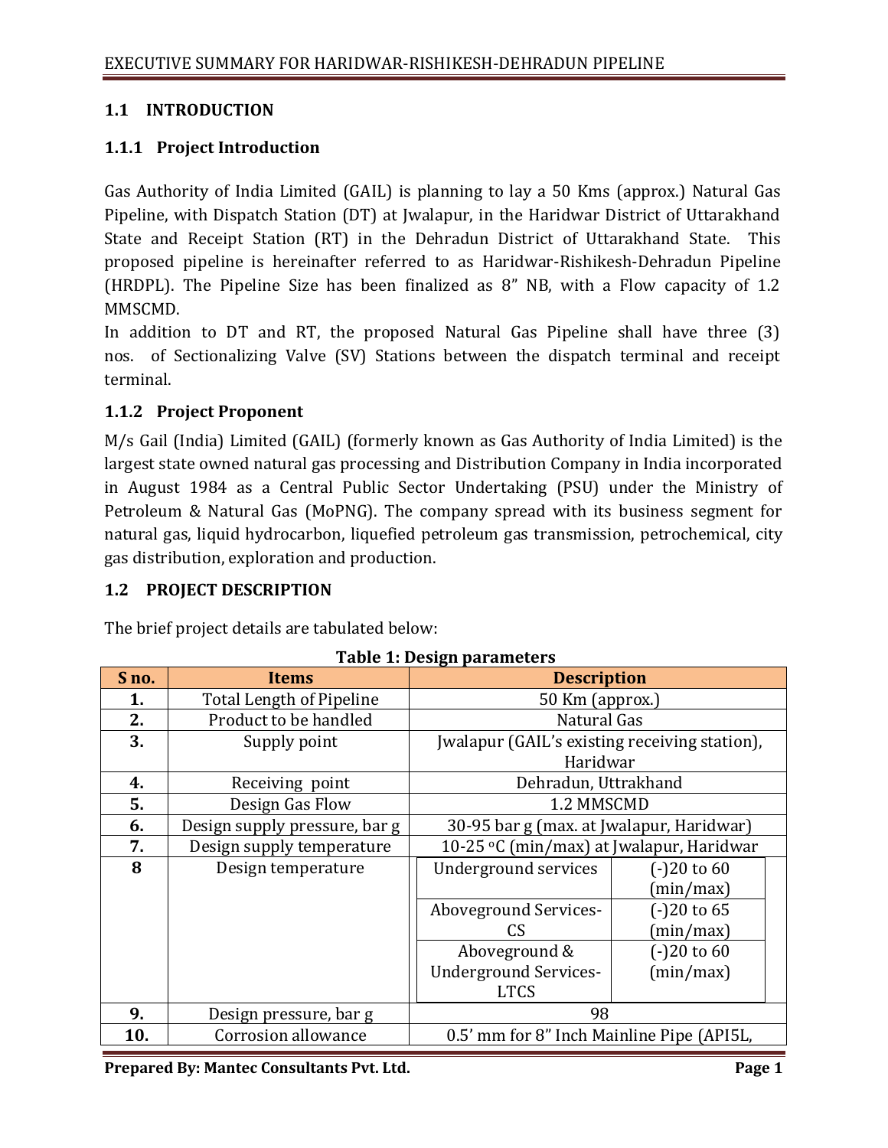### **1.1 INTRODUCTION**

### **1.1.1 Project Introduction**

Gas Authority of India Limited (GAIL) is planning to lay a 50 Kms (approx.) Natural Gas Pipeline, with Dispatch Station (DT) at Jwalapur, in the Haridwar District of Uttarakhand State and Receipt Station (RT) in the Dehradun District of Uttarakhand State. This proposed pipeline is hereinafter referred to as Haridwar-Rishikesh-Dehradun Pipeline (HRDPL). The Pipeline Size has been finalized as 8" NB, with a Flow capacity of 1.2 MMSCMD.

In addition to DT and RT, the proposed Natural Gas Pipeline shall have three (3) nos. of Sectionalizing Valve (SV) Stations between the dispatch terminal and receipt terminal.

### **1.1.2 Project Proponent**

M/s Gail (India) Limited (GAIL) (formerly known as Gas Authority of India Limited) is the largest state owned natural gas processing and Distribution Company in India incorporated in August 1984 as a Central Public Sector Undertaking (PSU) under the Ministry of Petroleum & Natural Gas (MoPNG). The company spread with its business segment for natural gas, liquid hydrocarbon, liquefied petroleum gas transmission, petrochemical, city gas distribution, exploration and production.

## **1.2 PROJECT DESCRIPTION**

The brief project details are tabulated below:

| S <sub>no.</sub> | <b>Items</b>                    | <b>Description</b>                            |               |
|------------------|---------------------------------|-----------------------------------------------|---------------|
| 1.               | <b>Total Length of Pipeline</b> | 50 Km (approx.)                               |               |
| 2.               | Product to be handled           | Natural Gas                                   |               |
| 3.               | Supply point                    | Jwalapur (GAIL's existing receiving station), |               |
|                  |                                 | Haridwar                                      |               |
| 4.               | Receiving point                 | Dehradun, Uttrakhand                          |               |
| 5.               | Design Gas Flow                 | 1.2 MMSCMD                                    |               |
| 6.               | Design supply pressure, bar g   | 30-95 bar g (max. at Jwalapur, Haridwar)      |               |
| 7.               | Design supply temperature       | 10-25 °C (min/max) at Jwalapur, Haridwar      |               |
| 8                | Design temperature              | Underground services                          | $(-)20$ to 60 |
|                  |                                 |                                               | (min/max)     |
|                  |                                 | Aboveground Services-                         | $(-)20$ to 65 |
|                  |                                 | CS                                            | (min/max)     |
|                  |                                 | Aboveground &                                 | $(-)20$ to 60 |
|                  |                                 | <b>Underground Services-</b>                  | (min/max)     |
|                  |                                 | <b>LTCS</b>                                   |               |
| 9.               | Design pressure, bar g          | 98                                            |               |
| 10.              | Corrosion allowance             | 0.5' mm for 8" Inch Mainline Pipe (API5L,     |               |

#### **Table 1: Design parameters**

**Prepared By: Mantec Consultants Pvt. Ltd. Page 1 Page 1**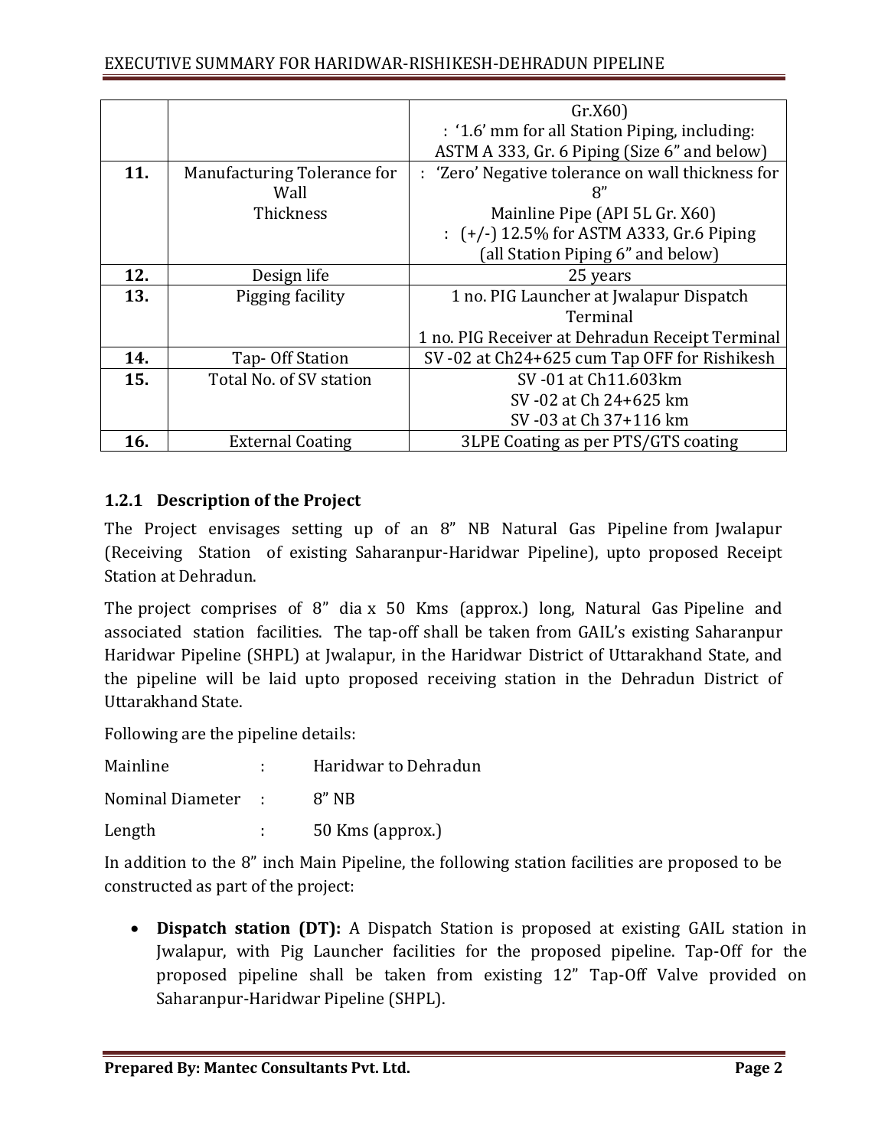|     |                             | Gr.X60                                            |
|-----|-----------------------------|---------------------------------------------------|
|     |                             | : '1.6' mm for all Station Piping, including:     |
|     |                             | ASTM A 333, Gr. 6 Piping (Size 6" and below)      |
| 11. | Manufacturing Tolerance for | : 'Zero' Negative tolerance on wall thickness for |
|     | Wall                        | 8"                                                |
|     | Thickness                   | Mainline Pipe (API 5L Gr. X60)                    |
|     |                             | $\pm$ (+/-) 12.5% for ASTM A333, Gr.6 Piping      |
|     |                             | (all Station Piping 6" and below)                 |
| 12. | Design life                 | 25 years                                          |
| 13. | Pigging facility            | 1 no. PIG Launcher at Jwalapur Dispatch           |
|     |                             | Terminal                                          |
|     |                             | 1 no. PIG Receiver at Dehradun Receipt Terminal   |
| 14. | Tap- Off Station            | SV-02 at Ch24+625 cum Tap OFF for Rishikesh       |
| 15. | Total No. of SV station     | SV-01 at Ch11.603km                               |
|     |                             | SV-02 at Ch 24+625 km                             |
|     |                             | SV-03 at Ch 37+116 km                             |
| 16. | <b>External Coating</b>     | 3LPE Coating as per PTS/GTS coating               |

# **1.2.1 Description of the Project**

The Project envisages setting up of an 8" NB Natural Gas Pipeline from Jwalapur (Receiving Station of existing Saharanpur-Haridwar Pipeline), upto proposed Receipt Station at Dehradun.

The project comprises of 8" dia x 50 Kms (approx.) long, Natural Gas Pipeline and associated station facilities. The tap-off shall be taken from GAIL's existing Saharanpur Haridwar Pipeline (SHPL) at Jwalapur, in the Haridwar District of Uttarakhand State, and the pipeline will be laid upto proposed receiving station in the Dehradun District of Uttarakhand State.

Following are the pipeline details:

| Mainline           |                            | Haridwar to Dehradun |
|--------------------|----------------------------|----------------------|
| Nominal Diameter : |                            | $8"$ NB              |
| Length             | $\mathcal{L}^{\text{max}}$ | 50 Kms (approx.)     |

In addition to the 8" inch Main Pipeline, the following station facilities are proposed to be constructed as part of the project:

 **Dispatch station (DT):** A Dispatch Station is proposed at existing GAIL station in Jwalapur, with Pig Launcher facilities for the proposed pipeline. Tap-Off for the proposed pipeline shall be taken from existing 12" Tap-Off Valve provided on Saharanpur-Haridwar Pipeline (SHPL).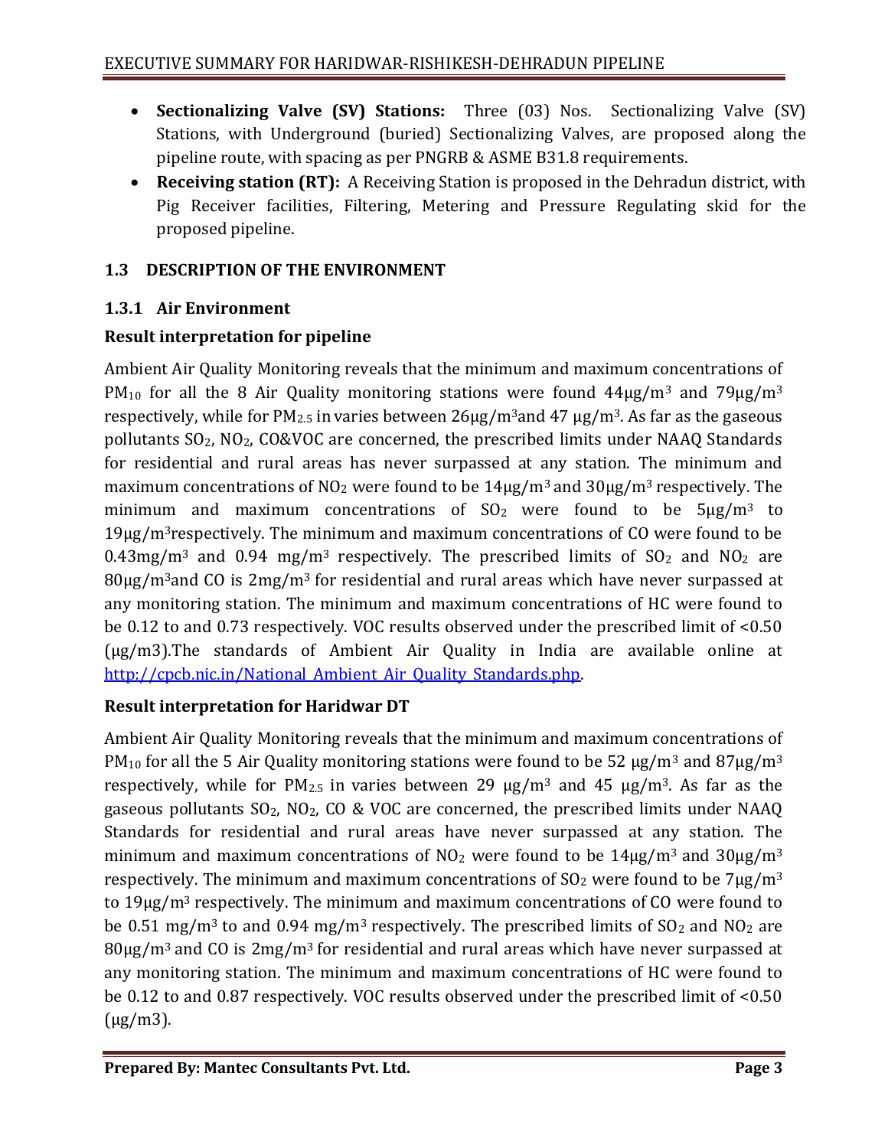- **Sectionalizing Valve (SV) Stations:** Three (03) Nos. Sectionalizing Valve (SV) Stations, with Underground (buried) Sectionalizing Valves, are proposed along the pipeline route, with spacing as per PNGRB & ASME B31.8 requirements.
- **Receiving station (RT):** A Receiving Station is proposed in the Dehradun district, with Pig Receiver facilities, Filtering, Metering and Pressure Regulating skid for the proposed pipeline.

# **1.3 DESCRIPTION OF THE ENVIRONMENT**

# **1.3.1 Air Environment**

# **Result interpretation for pipeline**

Ambient Air Quality Monitoring reveals that the minimum and maximum concentrations of PM<sub>10</sub> for all the 8 Air Quality monitoring stations were found  $44\mu$ g/m<sup>3</sup> and  $79\mu$ g/m<sup>3</sup> respectively, while for  $PM_{2.5}$  in varies between  $26\mu g/m^3$  and  $47 \mu g/m^3$ . As far as the gaseous pollutants  $SO<sub>2</sub>$ ,  $NO<sub>2</sub>$ ,  $CO&VOC$  are concerned, the prescribed limits under NAAO Standards for residential and rural areas has never surpassed at any station. The minimum and maximum concentrations of  $NO_2$  were found to be  $14\mu$ g/m<sup>3</sup> and  $30\mu$ g/m<sup>3</sup> respectively. The minimum and maximum concentrations of  $SO<sub>2</sub>$  were found to be  $5\mu g/m<sup>3</sup>$  to 19µg/m3respectively. The minimum and maximum concentrations of CO were found to be 0.43mg/m<sup>3</sup> and 0.94 mg/m<sup>3</sup> respectively. The prescribed limits of  $SO<sub>2</sub>$  and  $NO<sub>2</sub>$  are  $80\mu$ g/m<sup>3</sup>and CO is  $2mg/m<sup>3</sup>$  for residential and rural areas which have never surpassed at any monitoring station. The minimum and maximum concentrations of HC were found to be 0.12 to and 0.73 respectively. VOC results observed under the prescribed limit of <0.50 (μg/m3).The standards of Ambient Air Quality in India are available online at http://cpcb.nic.in/National Ambient Air Quality Standards.php.

# **Result interpretation for Haridwar DT**

Ambient Air Quality Monitoring reveals that the minimum and maximum concentrations of PM<sub>10</sub> for all the 5 Air Quality monitoring stations were found to be 52  $\mu$ g/m<sup>3</sup> and 87 $\mu$ g/m<sup>3</sup> respectively, while for  $PM_{2,5}$  in varies between 29  $\mu$ g/m<sup>3</sup> and 45  $\mu$ g/m<sup>3</sup>. As far as the gaseous pollutants  $SO_2$ ,  $NO_2$ ,  $CO \& VOC$  are concerned, the prescribed limits under NAAQ Standards for residential and rural areas have never surpassed at any station. The minimum and maximum concentrations of  $NO<sub>2</sub>$  were found to be  $14\mu g/m<sup>3</sup>$  and  $30\mu g/m<sup>3</sup>$ respectively. The minimum and maximum concentrations of  $SO_2$  were found to be  $7\mu g/m^3$ to 19µg/m3 respectively. The minimum and maximum concentrations of CO were found to be 0.51 mg/m<sup>3</sup> to and 0.94 mg/m<sup>3</sup> respectively. The prescribed limits of  $SO_2$  and  $NO_2$  are  $80\mu$ g/m<sup>3</sup> and CO is  $2mg/m<sup>3</sup>$  for residential and rural areas which have never surpassed at any monitoring station. The minimum and maximum concentrations of HC were found to be 0.12 to and 0.87 respectively. VOC results observed under the prescribed limit of <0.50 (μg/m3).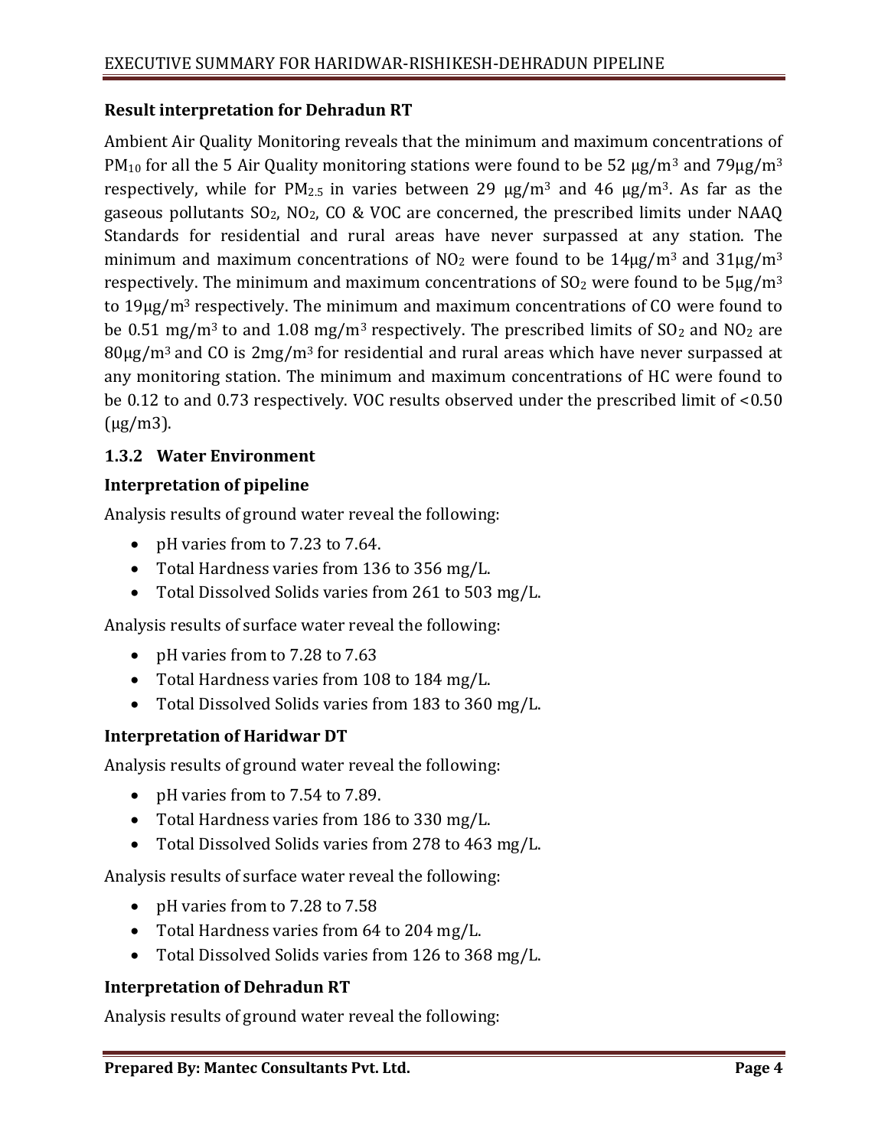### **Result interpretation for Dehradun RT**

Ambient Air Quality Monitoring reveals that the minimum and maximum concentrations of PM<sub>10</sub> for all the 5 Air Quality monitoring stations were found to be 52  $\mu$ g/m<sup>3</sup> and 79 $\mu$ g/m<sup>3</sup> respectively, while for  $PM_{2.5}$  in varies between 29  $\mu$ g/m<sup>3</sup> and 46  $\mu$ g/m<sup>3</sup>. As far as the gaseous pollutants  $SO_2$ ,  $NO_2$ ,  $CO \& VOC$  are concerned, the prescribed limits under NAAQ Standards for residential and rural areas have never surpassed at any station. The minimum and maximum concentrations of  $NO_2$  were found to be  $14\mu g/m^3$  and  $31\mu g/m^3$ respectively. The minimum and maximum concentrations of  $SO<sub>2</sub>$  were found to be  $5\mu g/m<sup>3</sup>$ to 19µg/m3 respectively. The minimum and maximum concentrations of CO were found to be 0.51 mg/m<sup>3</sup> to and 1.08 mg/m<sup>3</sup> respectively. The prescribed limits of  $SO<sub>2</sub>$  and  $NO<sub>2</sub>$  are  $80\mu g/m^3$  and CO is  $2mg/m^3$  for residential and rural areas which have never surpassed at any monitoring station. The minimum and maximum concentrations of HC were found to be 0.12 to and 0.73 respectively. VOC results observed under the prescribed limit of <0.50  $(\mu$ g/m $3)$ .

### **1.3.2 Water Environment**

### **Interpretation of pipeline**

Analysis results of ground water reveal the following:

- pH varies from to 7.23 to 7.64.
- Total Hardness varies from 136 to 356 mg/L.
- Total Dissolved Solids varies from 261 to 503 mg/L.

Analysis results of surface water reveal the following:

- pH varies from to 7.28 to 7.63
- Total Hardness varies from 108 to 184 mg/L.
- Total Dissolved Solids varies from 183 to 360 mg/L.

## **Interpretation of Haridwar DT**

Analysis results of ground water reveal the following:

- pH varies from to 7.54 to 7.89.
- Total Hardness varies from 186 to 330 mg/L.
- Total Dissolved Solids varies from 278 to 463 mg/L.

Analysis results of surface water reveal the following:

- pH varies from to 7.28 to 7.58
- Total Hardness varies from 64 to 204 mg/L.
- Total Dissolved Solids varies from 126 to 368 mg/L.

#### **Interpretation of Dehradun RT**

Analysis results of ground water reveal the following: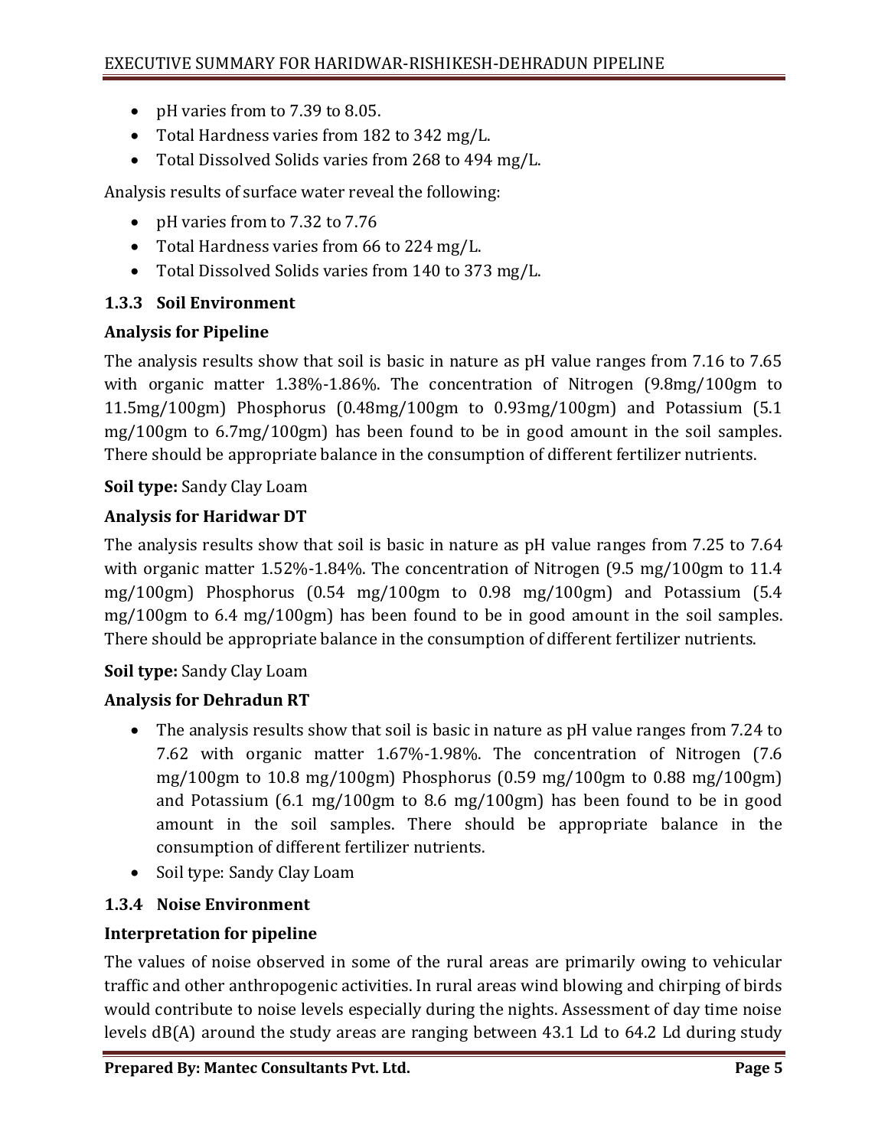- pH varies from to 7.39 to 8.05.
- Total Hardness varies from 182 to 342 mg/L.
- Total Dissolved Solids varies from 268 to 494 mg/L.

Analysis results of surface water reveal the following:

- pH varies from to 7.32 to 7.76
- Total Hardness varies from 66 to 224 mg/L.
- Total Dissolved Solids varies from 140 to 373 mg/L.

# **1.3.3 Soil Environment**

## **Analysis for Pipeline**

The analysis results show that soil is basic in nature as pH value ranges from 7.16 to 7.65 with organic matter 1.38%-1.86%. The concentration of Nitrogen (9.8mg/100gm to 11.5mg/100gm) Phosphorus (0.48mg/100gm to 0.93mg/100gm) and Potassium (5.1 mg/100gm to 6.7mg/100gm) has been found to be in good amount in the soil samples. There should be appropriate balance in the consumption of different fertilizer nutrients.

# **Soil type:** Sandy Clay Loam

# **Analysis for Haridwar DT**

The analysis results show that soil is basic in nature as pH value ranges from 7.25 to 7.64 with organic matter 1.52%-1.84%. The concentration of Nitrogen (9.5 mg/100gm to 11.4) mg/100gm) Phosphorus (0.54 mg/100gm to 0.98 mg/100gm) and Potassium (5.4 mg/100gm to 6.4 mg/100gm) has been found to be in good amount in the soil samples. There should be appropriate balance in the consumption of different fertilizer nutrients.

# **Soil type:** Sandy Clay Loam

# **Analysis for Dehradun RT**

- The analysis results show that soil is basic in nature as pH value ranges from 7.24 to 7.62 with organic matter 1.67%-1.98%. The concentration of Nitrogen (7.6 mg/100gm to 10.8 mg/100gm) Phosphorus (0.59 mg/100gm to 0.88 mg/100gm) and Potassium (6.1 mg/100gm to 8.6 mg/100gm) has been found to be in good amount in the soil samples. There should be appropriate balance in the consumption of different fertilizer nutrients.
- Soil type: Sandy Clay Loam

## **1.3.4 Noise Environment**

## **Interpretation for pipeline**

The values of noise observed in some of the rural areas are primarily owing to vehicular traffic and other anthropogenic activities. In rural areas wind blowing and chirping of birds would contribute to noise levels especially during the nights. Assessment of day time noise levels dB(A) around the study areas are ranging between 43.1 Ld to 64.2 Ld during study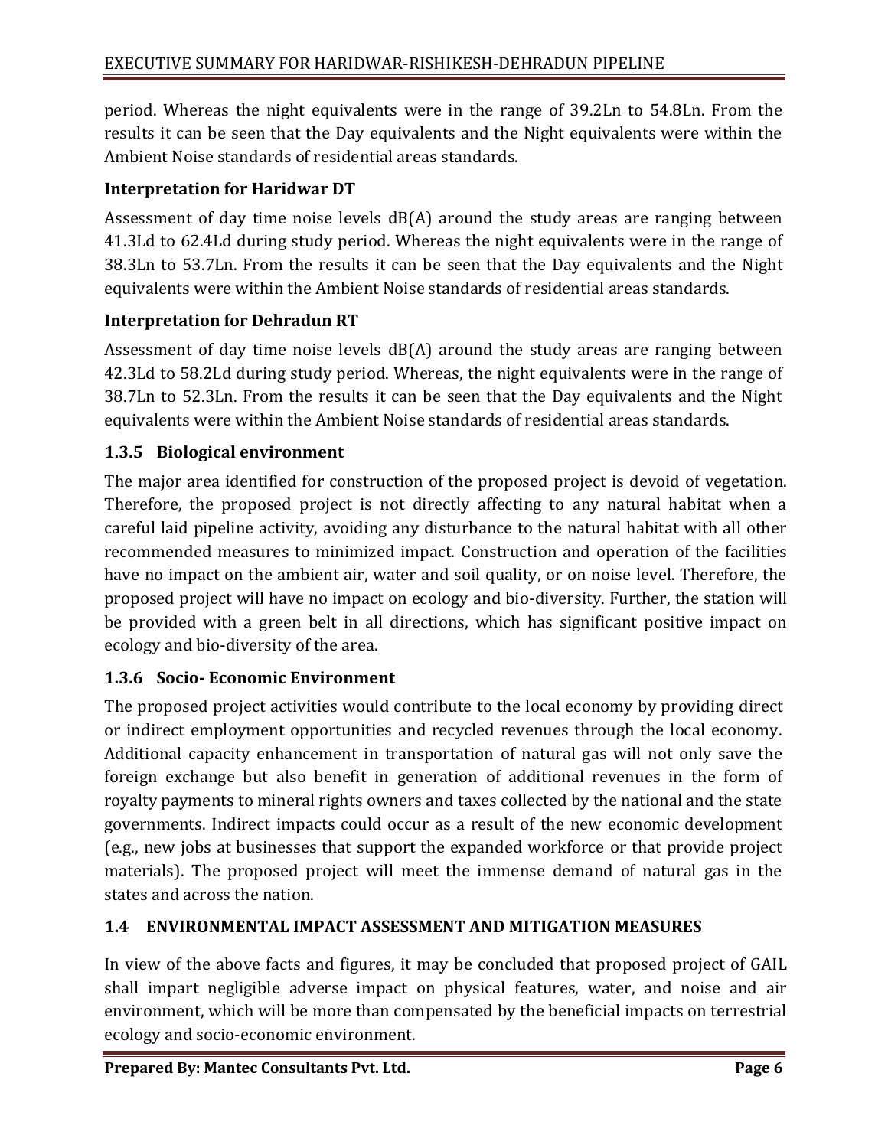period. Whereas the night equivalents were in the range of 39.2Ln to 54.8Ln. From the results it can be seen that the Day equivalents and the Night equivalents were within the Ambient Noise standards of residential areas standards.

# **Interpretation for Haridwar DT**

Assessment of day time noise levels dB(A) around the study areas are ranging between 41.3Ld to 62.4Ld during study period. Whereas the night equivalents were in the range of 38.3Ln to 53.7Ln. From the results it can be seen that the Day equivalents and the Night equivalents were within the Ambient Noise standards of residential areas standards.

# **Interpretation for Dehradun RT**

Assessment of day time noise levels dB(A) around the study areas are ranging between 42.3Ld to 58.2Ld during study period. Whereas, the night equivalents were in the range of 38.7Ln to 52.3Ln. From the results it can be seen that the Day equivalents and the Night equivalents were within the Ambient Noise standards of residential areas standards.

# **1.3.5 Biological environment**

The major area identified for construction of the proposed project is devoid of vegetation. Therefore, the proposed project is not directly affecting to any natural habitat when a careful laid pipeline activity, avoiding any disturbance to the natural habitat with all other recommended measures to minimized impact. Construction and operation of the facilities have no impact on the ambient air, water and soil quality, or on noise level. Therefore, the proposed project will have no impact on ecology and bio-diversity. Further, the station will be provided with a green belt in all directions, which has significant positive impact on ecology and bio-diversity of the area.

# **1.3.6 Socio- Economic Environment**

The proposed project activities would contribute to the local economy by providing direct or indirect employment opportunities and recycled revenues through the local economy. Additional capacity enhancement in transportation of natural gas will not only save the foreign exchange but also benefit in generation of additional revenues in the form of royalty payments to mineral rights owners and taxes collected by the national and the state governments. Indirect impacts could occur as a result of the new economic development (e.g., new jobs at businesses that support the expanded workforce or that provide project materials). The proposed project will meet the immense demand of natural gas in the states and across the nation.

## **1.4 ENVIRONMENTAL IMPACT ASSESSMENT AND MITIGATION MEASURES**

In view of the above facts and figures, it may be concluded that proposed project of GAIL shall impart negligible adverse impact on physical features, water, and noise and air environment, which will be more than compensated by the beneficial impacts on terrestrial ecology and socio-economic environment.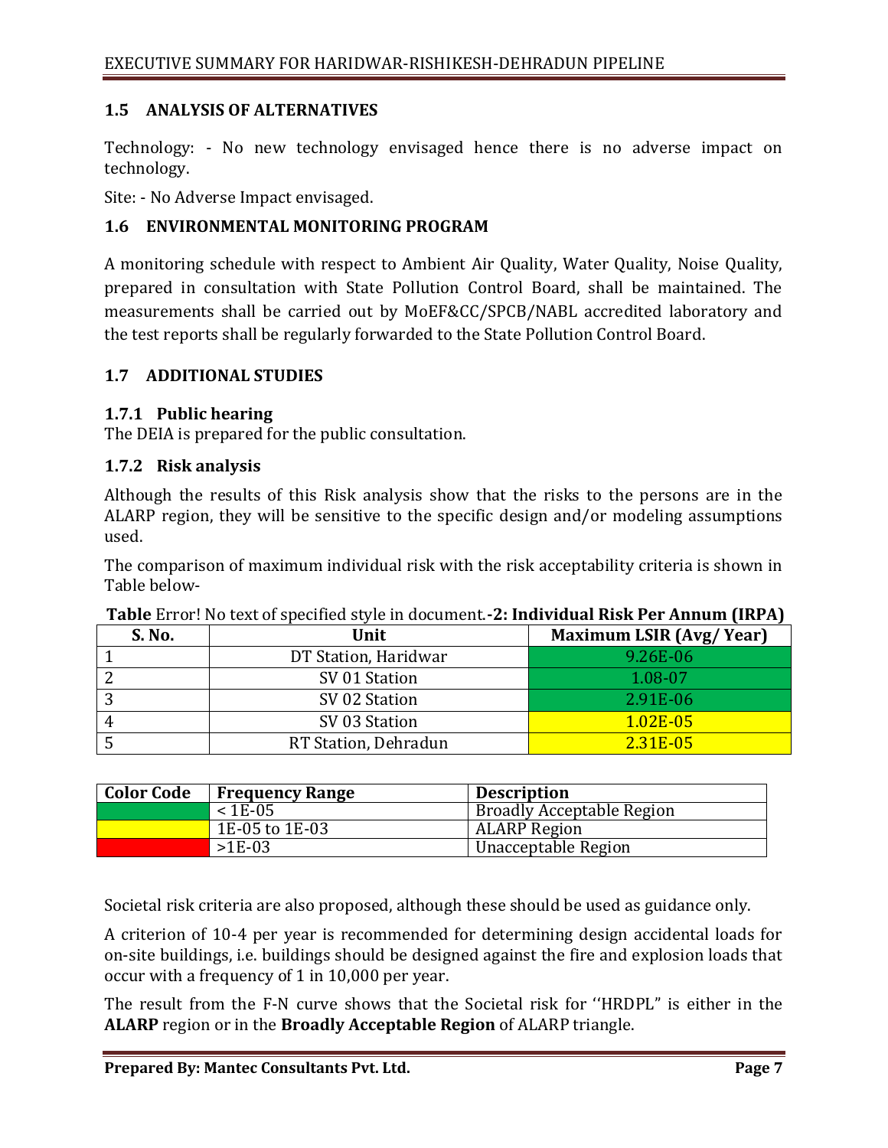### **1.5 ANALYSIS OF ALTERNATIVES**

Technology: - No new technology envisaged hence there is no adverse impact on technology.

Site: - No Adverse Impact envisaged.

### **1.6 ENVIRONMENTAL MONITORING PROGRAM**

A monitoring schedule with respect to Ambient Air Quality, Water Quality, Noise Quality, prepared in consultation with State Pollution Control Board, shall be maintained. The measurements shall be carried out by MoEF&CC/SPCB/NABL accredited laboratory and the test reports shall be regularly forwarded to the State Pollution Control Board.

#### **1.7 ADDITIONAL STUDIES**

#### **1.7.1 Public hearing**

The DEIA is prepared for the public consultation.

#### **1.7.2 Risk analysis**

Although the results of this Risk analysis show that the risks to the persons are in the ALARP region, they will be sensitive to the specific design and/or modeling assumptions used.

The comparison of maximum individual risk with the risk acceptability criteria is shown in Table below-

| S. No. | Unit                 | <b>Maximum LSIR (Avg/Year)</b> |
|--------|----------------------|--------------------------------|
|        | DT Station, Haridwar | 9.26E-06                       |
|        | SV 01 Station        | 1.08-07                        |
|        | SV 02 Station        | 2.91E-06                       |
|        | SV 03 Station        | $1.02E - 05$                   |
|        | RT Station, Dehradun | 2.31E-05                       |

**Table** Error! No text of specified style in document.**-2: Individual Risk Per Annum (IRPA)**

| <b>Color Code</b> | <b>Frequency Range</b> | <b>Description</b>        |
|-------------------|------------------------|---------------------------|
|                   | $< 1E-05$              | Broadly Acceptable Region |
|                   | 1E-05 to 1E-03         | <b>ALARP</b> Region       |
|                   | $>1E-03$               | Unacceptable Region       |

Societal risk criteria are also proposed, although these should be used as guidance only.

A criterion of 10-4 per year is recommended for determining design accidental loads for on-site buildings, i.e. buildings should be designed against the fire and explosion loads that occur with a frequency of 1 in 10,000 per year.

The result from the F-N curve shows that the Societal risk for ''HRDPL" is either in the **ALARP** region or in the **Broadly Acceptable Region** of ALARP triangle.